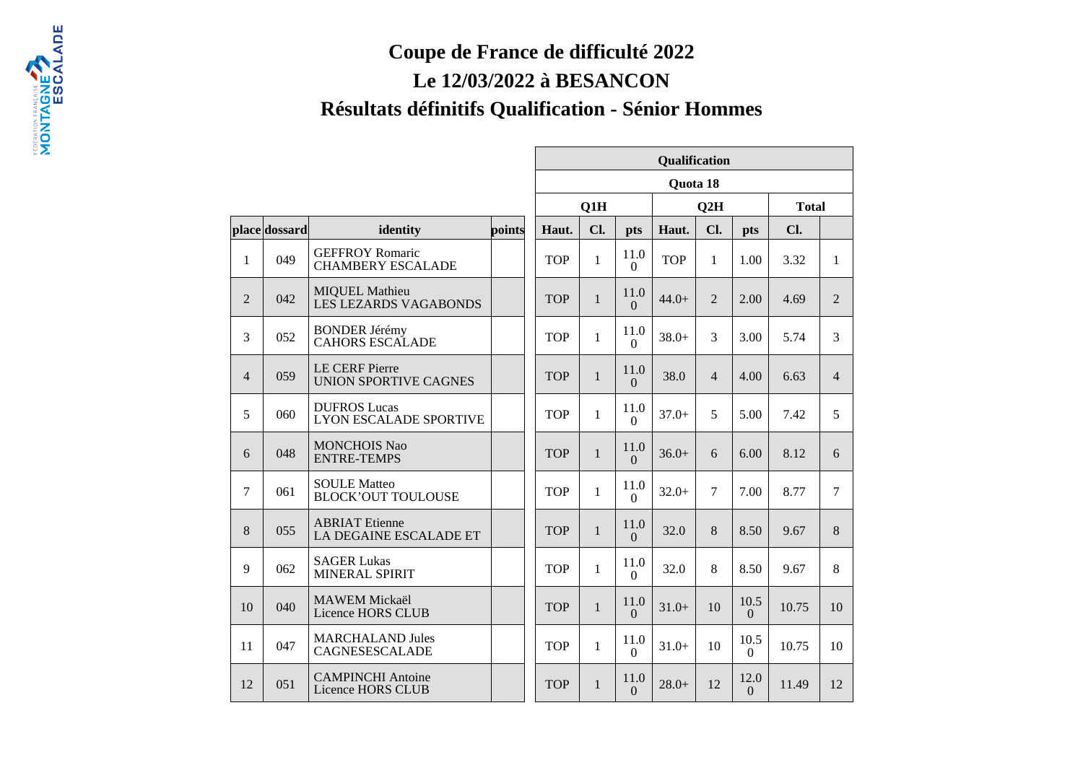## **Coupe de France de difficulté 2022**

## **Le 12/03/2022 à BESANCON**

## **Résultats définitifs Qualification - Sénior Hommes**

|                |               |                                                       |        | Qualification |              |                          |            |                |                  |              |                |
|----------------|---------------|-------------------------------------------------------|--------|---------------|--------------|--------------------------|------------|----------------|------------------|--------------|----------------|
|                |               |                                                       |        | Quota 18      |              |                          |            |                |                  |              |                |
|                |               |                                                       |        | Q1H           |              |                          | Q2H        |                |                  | <b>Total</b> |                |
|                | place dossard | identity                                              | points | Haut.         | Cl.          | pts                      | Haut.      | Cl.            | pts              | Cl.          |                |
| 1              | 049           | <b>GEFFROY Romaric</b><br><b>CHAMBERY ESCALADE</b>    |        | <b>TOP</b>    | $\mathbf{1}$ | 11.0<br>$\boldsymbol{0}$ | <b>TOP</b> | $\mathbf{1}$   | 1.00             | 3.32         | $\mathbf{1}$   |
| 2              | 042           | <b>MIQUEL Mathieu</b><br><b>LES LEZARDS VAGABONDS</b> |        | <b>TOP</b>    | $\mathbf{1}$ | 11.0<br>$\Omega$         | $44.0+$    | $\overline{2}$ | 2.00             | 4.69         | 2              |
| 3              | 052           | <b>BONDER Jérémy</b><br><b>CAHORS ESCALADE</b>        |        | <b>TOP</b>    | $\mathbf{1}$ | 11.0<br>$\Omega$         | $38.0+$    | $\overline{3}$ | 3.00             | 5.74         | $\overline{3}$ |
| $\overline{4}$ | 059           | <b>LE CERF Pierre</b><br><b>UNION SPORTIVE CAGNES</b> |        | <b>TOP</b>    | $\mathbf{1}$ | 11.0<br>$\Omega$         | 38.0       | $\overline{4}$ | 4.00             | 6.63         | $\overline{4}$ |
| 5              | 060           | <b>DUFROS Lucas</b><br><b>LYON ESCALADE SPORTIVE</b>  |        | <b>TOP</b>    | $\mathbf{1}$ | 11.0<br>$\Omega$         | $37.0+$    | 5              | 5.00             | 7.42         | 5              |
| 6              | 048           | <b>MONCHOIS Nao</b><br><b>ENTRE-TEMPS</b>             |        | <b>TOP</b>    | $\mathbf{1}$ | 11.0<br>$\Omega$         | $36.0+$    | 6              | 6.00             | 8.12         | 6              |
| $\overline{7}$ | 061           | <b>SOULE Matteo</b><br><b>BLOCK'OUT TOULOUSE</b>      |        | <b>TOP</b>    | $\mathbf{1}$ | 11.0<br>$\Omega$         | $32.0+$    | $\tau$         | 7.00             | 8.77         | $\tau$         |
| 8              | 055           | <b>ABRIAT Etienne</b><br>LA DEGAINE ESCALADE ET       |        | <b>TOP</b>    | $\mathbf{1}$ | 11.0<br>$\Omega$         | 32.0       | 8              | 8.50             | 9.67         | 8              |
| 9              | 062           | <b>SAGER Lukas</b><br>MINERAL SPIRIT                  |        | <b>TOP</b>    | $\mathbf{1}$ | 11.0<br>$\Omega$         | 32.0       | 8              | 8.50             | 9.67         | 8              |
| 10             | 040           | <b>MAWEM Mickaël</b><br>Licence HORS CLUB             |        | <b>TOP</b>    | $\mathbf{1}$ | 11.0<br>$\Omega$         | $31.0+$    | 10             | 10.5<br>$\Omega$ | 10.75        | 10             |
| 11             | 047           | <b>MARCHALAND Jules</b><br>CAGNESESCALADE             |        | <b>TOP</b>    | $\mathbf{1}$ | 11.0<br>$\overline{0}$   | $31.0+$    | 10             | 10.5<br>$\theta$ | 10.75        | 10             |
| 12             | 051           | <b>CAMPINCHI</b> Antoine<br>Licence HORS CLUB         |        | <b>TOP</b>    | $\mathbf{1}$ | 11.0<br>$\Omega$         | $28.0+$    | 12             | 12.0<br>$\Omega$ | 11.49        | 12             |